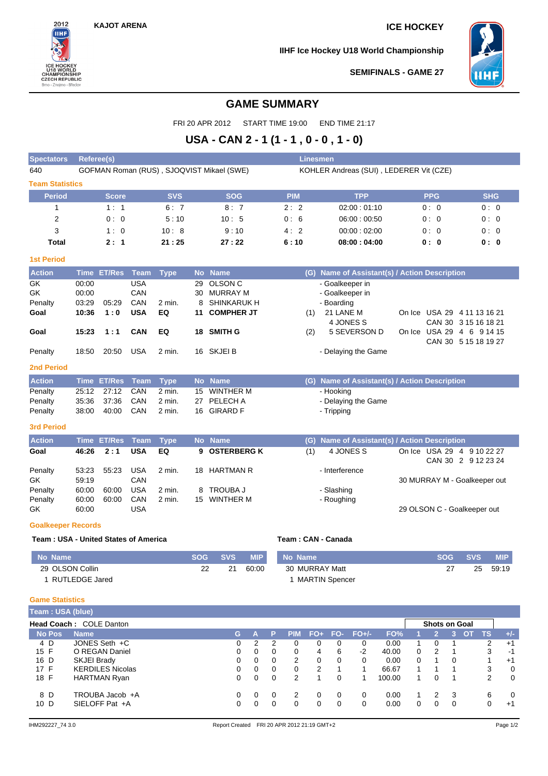**KAJOT ARENA ICE HOCKEY**



**IIHF Ice Hockey U18 World Championship**



**SEMIFINALS - GAME 27**

## **GAME SUMMARY**

FRI 20 APR 2012 START TIME 19:00 END TIME 21:17

# **USA - CAN 2 - 1 (1 - 1 , 0 - 0 , 1 - 0)**

| <b>Spectators</b>                    | Linesmen<br>Referee(s) |                    |             |                                           |           |                                         |                    |                                               |  |            |                                                   |            |
|--------------------------------------|------------------------|--------------------|-------------|-------------------------------------------|-----------|-----------------------------------------|--------------------|-----------------------------------------------|--|------------|---------------------------------------------------|------------|
| 640                                  |                        |                    |             | GOFMAN Roman (RUS), SJOQVIST Mikael (SWE) |           | KOHLER Andreas (SUI), LEDERER Vit (CZE) |                    |                                               |  |            |                                                   |            |
| <b>Team Statistics</b>               |                        |                    |             |                                           |           |                                         |                    |                                               |  |            |                                                   |            |
| <b>Period</b>                        |                        | <b>Score</b>       |             | <b>SVS</b>                                |           | <b>SOG</b>                              | <b>PIM</b>         | <b>TPP</b>                                    |  | <b>PPG</b> |                                                   | <b>SHG</b> |
| 1                                    |                        | 1:1                |             | 6:7                                       |           | 8:7                                     | 2:2                | 02:00:01:10                                   |  | 0:0        |                                                   | 0:0        |
| 2                                    |                        | 0:0                |             | 5:10                                      |           | 10:5                                    | 0:6                | 06:00:00:50                                   |  | 0:0        |                                                   | 0:0        |
| 3                                    |                        | 1:0                |             | 10:8                                      |           | 9:10                                    | 4:2                | 00:00:02:00                                   |  | 0:0        |                                                   | 0:0        |
| <b>Total</b>                         |                        | 2:1                |             | 21:25                                     |           | 27:22                                   | 6:10               | 08:00:04:00                                   |  | 0:0        |                                                   | 0: 0       |
| <b>1st Period</b>                    |                        |                    |             |                                           |           |                                         |                    |                                               |  |            |                                                   |            |
| <b>Action</b>                        | <b>Time</b>            | <b>ET/Res</b>      | <b>Team</b> | <b>Type</b>                               | <b>No</b> | <b>Name</b>                             | (G)                | Name of Assistant(s) / Action Description     |  |            |                                                   |            |
| GK                                   | 00:00                  |                    | <b>USA</b>  |                                           | 29        | <b>OLSON C</b>                          |                    | - Goalkeeper in                               |  |            |                                                   |            |
| <b>GK</b>                            | 00:00                  |                    | CAN         |                                           | 30        | <b>MURRAY M</b>                         |                    | - Goalkeeper in                               |  |            |                                                   |            |
| Penalty                              | 03:29                  | 05:29              | CAN         | $2$ min.                                  | 8         | <b>SHINKARUK H</b>                      |                    | - Boarding                                    |  |            |                                                   |            |
| Goal                                 | 10:36                  | 1:0                | <b>USA</b>  | EQ                                        | 11        | <b>COMPHER JT</b>                       | (1)                | 21 LANE M                                     |  |            | On Ice USA 29 4 11 13 16 21                       |            |
|                                      |                        |                    |             |                                           |           |                                         |                    | 4 JONES S                                     |  |            | CAN 30 3 15 16 18 21                              |            |
| Goal                                 | 15:23                  | 1:1                | <b>CAN</b>  | EQ                                        |           | 18 SMITH G                              | (2)                | 5 SEVERSON D                                  |  |            | On Ice USA 29 4 6 9 14 15                         |            |
|                                      |                        |                    |             |                                           |           |                                         |                    |                                               |  |            | CAN 30 5 15 18 19 27                              |            |
| Penalty                              | 18:50                  | 20:50              | <b>USA</b>  | 2 min.                                    |           | 16 SKJEI B                              |                    | - Delaying the Game                           |  |            |                                                   |            |
| <b>2nd Period</b>                    |                        |                    |             |                                           |           |                                         |                    |                                               |  |            |                                                   |            |
| <b>Action</b>                        |                        | <b>Time ET/Res</b> | <b>Team</b> | <b>Type</b>                               |           | No Name                                 |                    | (G) Name of Assistant(s) / Action Description |  |            |                                                   |            |
| Penalty                              | 25:12                  | 27:12              | CAN         | 2 min.                                    |           | 15 WINTHER M                            |                    | - Hooking                                     |  |            |                                                   |            |
| Penalty                              | 35:36                  | 37:36              | CAN         | 2 min.                                    | 27        | PELECH A                                |                    | - Delaying the Game                           |  |            |                                                   |            |
| Penalty                              | 38:00                  | 40:00              | CAN         | 2 min.                                    |           | 16 GIRARD F                             |                    | - Tripping                                    |  |            |                                                   |            |
| <b>3rd Period</b>                    |                        |                    |             |                                           |           |                                         |                    |                                               |  |            |                                                   |            |
| <b>Action</b>                        |                        | <b>Time ET/Res</b> | <b>Team</b> | <b>Type</b>                               |           | No Name                                 | (G)                | Name of Assistant(s) / Action Description     |  |            |                                                   |            |
| Goal                                 | 46:26                  | 2:1                | <b>USA</b>  | EQ                                        |           | 9 OSTERBERG K                           | (1)                | 4 JONES S                                     |  |            | On Ice USA 29 4 9 10 22 27<br>CAN 30 2 9 12 23 24 |            |
| Penalty                              | 53:23                  | 55:23              | <b>USA</b>  | 2 min.                                    |           | 18 HARTMAN R                            |                    | - Interference                                |  |            |                                                   |            |
| GK                                   | 59:19                  |                    | CAN         |                                           |           |                                         |                    |                                               |  |            | 30 MURRAY M - Goalkeeper out                      |            |
| Penalty                              | 60:00                  | 60:00              | <b>USA</b>  | 2 min.                                    |           | TROUBA J                                |                    | - Slashing                                    |  |            |                                                   |            |
| Penalty                              | 60:00                  | 60:00              | CAN         | 2 min.                                    |           | 15 WINTHER M                            |                    | - Roughing                                    |  |            |                                                   |            |
| GK.                                  | 60:00                  |                    | <b>USA</b>  |                                           |           |                                         |                    |                                               |  |            | 29 OLSON C - Goalkeeper out                       |            |
| <b>Goalkeeper Records</b>            |                        |                    |             |                                           |           |                                         |                    |                                               |  |            |                                                   |            |
| Team: USA - United States of America |                        |                    |             |                                           |           |                                         | Team: CAN - Canada |                                               |  |            |                                                   |            |

**No Name SOG SVS MIP** 29 OLSON Collin 1 RUTLEDGE Jared 22 21 60:00 **No Name SOG SVS MIP** 30 MURRAY Matt 1 MARTIN Spencer 27 25 59:19

#### **Game Statistics**

| Team: USA (blue)        |                         |    |               |          |            |       |          |            |        |   |          |    |                      |                |       |  |  |  |
|-------------------------|-------------------------|----|---------------|----------|------------|-------|----------|------------|--------|---|----------|----|----------------------|----------------|-------|--|--|--|
| Head Coach: COLE Danton |                         |    |               |          |            |       |          |            |        |   |          |    | <b>Shots on Goal</b> |                |       |  |  |  |
| <b>No Pos</b>           | <b>Name</b>             | G. |               | P        | <b>PIN</b> | $FO+$ |          | $FO-FO+/-$ | FO%    |   | v.       |    | '3 OT.               | TS.            | $+/-$ |  |  |  |
| 4 D                     | JONES Seth +C           | 0  | $\mathcal{P}$ | 2        |            | 0     | 0        | 0          | 0.00   |   | $\Omega$ |    |                      | 2              | $+1$  |  |  |  |
| 15 F                    | O REGAN Daniel          | 0  | 0             | 0        | $\Omega$   | 4     | 6        | $-2$       | 40.00  | 0 | 2        |    |                      | 3              | $-1$  |  |  |  |
| 16 D                    | SKJEI Brady             | 0  | 0             | 0        | 2          | 0     | $\Omega$ | $\Omega$   | 0.00   | 0 |          | 0  |                      |                | $+1$  |  |  |  |
| 17 F                    | <b>KERDILES Nicolas</b> | 0  | 0             | 0        | 0          | 2     |          |            | 66.67  |   |          |    |                      | 3              | 0     |  |  |  |
| 18 F                    | <b>HARTMAN Ryan</b>     | 0  | 0             | 0        | 2          |       | 0        |            | 100.00 |   |          |    |                      | $\overline{2}$ | 0     |  |  |  |
| 8 D                     | TROUBA Jacob +A         | 0  | 0             | $\Omega$ |            | 0     | $\Omega$ | $\Omega$   | 0.00   |   | 2        | -3 |                      | 6              | 0     |  |  |  |
| 10 D                    | SIELOFF Pat +A          | 0  | 0             | 0        |            | 0     | $\Omega$ | $\Omega$   | 0.00   | 0 |          | 0  |                      | 0              | $+1$  |  |  |  |